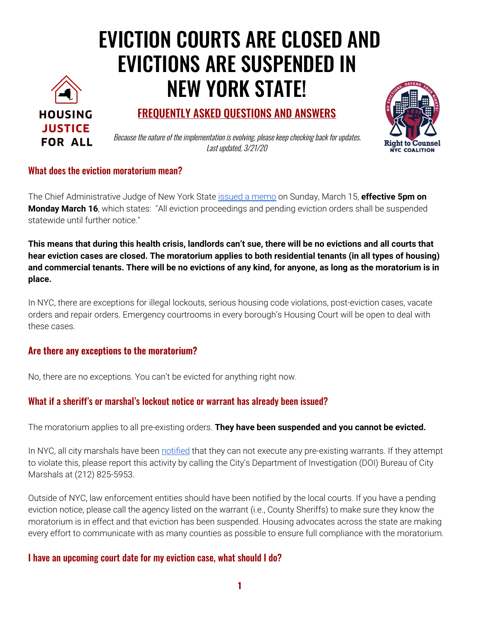# EVICTION COURTS ARE CLOSED AND EVICTIONS ARE SUSPENDED IN NEW YORK STATE!



## FREQUENTLY ASKED QUESTIONS AND ANSWERS



Because the nature of the implementation is evolving, please keep checking back for updates. Last updated, 3/21/20

## What does the eviction moratorium mean?

The Chief Administrative Judge of New York State issued a memo on Sunday, March 15, **effective 5pm on Monday March 16,** which states: "All eviction proceedings and pending eviction orders shall be suspended statewide until further notice."

This means that during this health crisis, landlords can't sue, there will be no evictions and all courts that hear eviction cases are closed. The moratorium applies to both residential tenants (in all types of housing) and commercial tenants. There will be no evictions of any kind, for anyone, as long as the moratorium is in place.

In NYC, there are exceptions for illegal lockouts, serious housing code violations, post-eviction cases, vacate orders and repair orders. Emergency courtrooms in every borough's Housing Court will be open to deal with these cases.

## Are there any exceptions to the moratorium?

No, there are no exceptions. You can't be evicted for anything right now.

## What if a sheriff's or marshal's lockout notice or warrant has already been issued?

The moratorium applies to all pre-existing orders. They have been suspended and you cannot be evicted.

In NYC, all city marshals have been notified that they can not execute any pre-existing warrants. If they attempt to violate this, please report this activity by calling the City's Department of Investigation (DOI) Bureau of City Marshals at (212) 825-5953.

Outside of NYC, law enforcement entities should have been notified by the local courts. If you have a pending eviction notice, please call the agency listed on the warrant (i.e., County Sheriffs) to make sure they know the moratorium is in effect and that eviction has been suspended. Housing advocates across the state are making every effort to communicate with as many counties as possible to ensure full compliance with the moratorium.

## I have an upcoming court date for my eviction case, what should I do?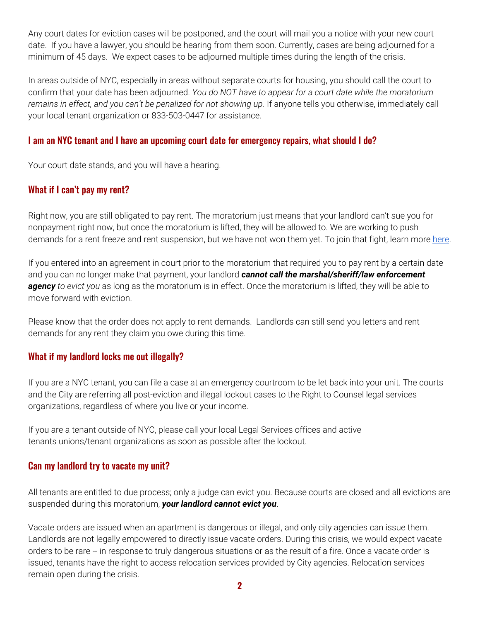Any court dates for eviction cases will be postponed, and the court will mail you a notice with your new court date. If you have a lawyer, you should be hearing from them soon. Currently, cases are being adjourned for a minimum of 45 days. We expect cases to be adjourned multiple times during the length of the crisis.

In areas outside of NYC, especially in areas without separate courts for housing, you should call the court to confirm that your date has been adjourned. You do NOT have to appear for a court date while the moratorium remains in effect, and you can't be penalized for not showing up. If anyone tells you otherwise, immediately call your local tenant organization or 833-503-0447 for assistance.

## I am an NYC tenant and I have an upcoming court date for emergency repairs, what should I do?

Your court date stands, and you will have a hearing.

## What if I can't pay my rent?

Right now, you are still obligated to pay rent. The moratorium just means that your landlord can't sue you for nonpayment right now, but once the moratorium is lifted, they will be allowed to. We are working to push demands for a rent freeze and rent suspension, but we have not won them yet. To join that fight, learn more here.

If you entered into an agreement in court prior to the moratorium that required you to pay rent by a certain date and you can no longer make that payment, your landlord cannot call the marshal/sheriff/law enforcement agency to evict you as long as the moratorium is in effect. Once the moratorium is lifted, they will be able to move forward with eviction.

Please know that the order does not apply to rent demands. Landlords can still send you letters and rent demands for any rent they claim you owe during this time.

## What if my landlord locks me out illegally?

If you are a NYC tenant, you can file a case at an emergency courtroom to be let back into your unit. The courts and the City are referring all post-eviction and illegal lockout cases to the Right to Counsel legal services organizations, regardless of where you live or your income.

If you are a tenant outside of NYC, please call your local Legal Services offices and active tenants unions/tenant organizations as soon as possible after the lockout.

## Can my landlord try to vacate my unit?

All tenants are entitled to due process; only a judge can evict you. Because courts are closed and all evictions are suspended during this moratorium, your landlord cannot evict you.

Vacate orders are issued when an apartment is dangerous or illegal, and only city agencies can issue them. Landlords are not legally empowered to directly issue vacate orders. During this crisis, we would expect vacate orders to be rare -- in response to truly dangerous situations or as the result of a fire. Once a vacate order is issued, tenants have the right to access relocation services provided by City agencies. Relocation services remain open during the crisis.